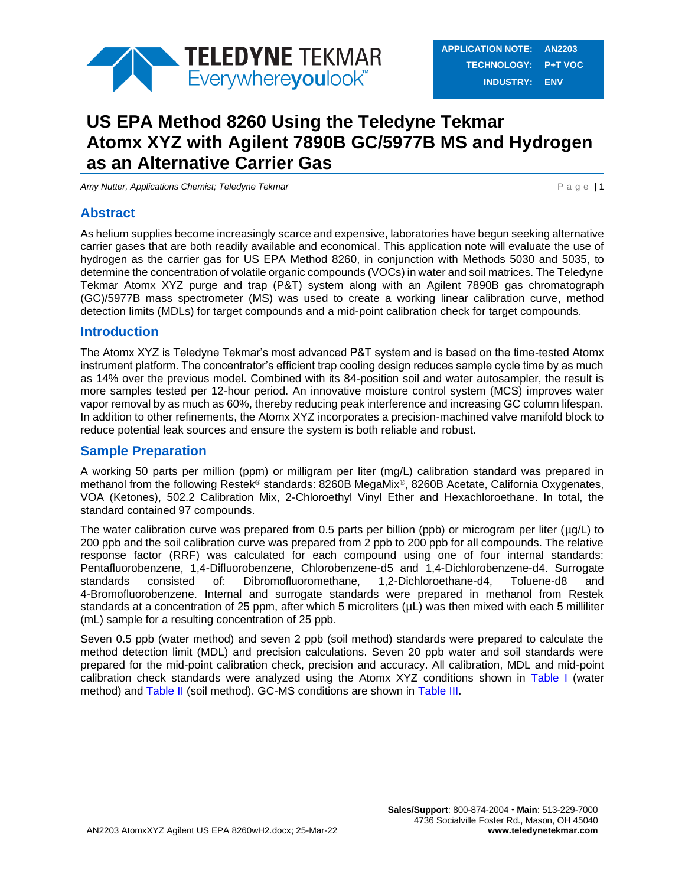

# **US EPA Method 8260 Using the Teledyne Tekmar Atomx XYZ with Agilent 7890B GC/5977B MS and Hydrogen as an Alternative Carrier Gas**

*Amy Nutter, Applications Chemist; Teledyne Tekmar* **P a g e | 1** 

## **Abstract**

As helium supplies become increasingly scarce and expensive, laboratories have begun seeking alternative carrier gases that are both readily available and economical. This application note will evaluate the use of hydrogen as the carrier gas for US EPA Method 8260, in conjunction with Methods 5030 and 5035, to determine the concentration of volatile organic compounds (VOCs) in water and soil matrices. The Teledyne Tekmar Atomx XYZ purge and trap (P&T) system along with an Agilent 7890B gas chromatograph (GC)/5977B mass spectrometer (MS) was used to create a working linear calibration curve, method detection limits (MDLs) for target compounds and a mid-point calibration check for target compounds.

### **Introduction**

The Atomx XYZ is Teledyne Tekmar's most advanced P&T system and is based on the time-tested Atomx instrument platform. The concentrator's efficient trap cooling design reduces sample cycle time by as much as 14% over the previous model. Combined with its 84-position soil and water autosampler, the result is more samples tested per 12-hour period. An innovative moisture control system (MCS) improves water vapor removal by as much as 60%, thereby reducing peak interference and increasing GC column lifespan. In addition to other refinements, the Atomx XYZ incorporates a precision-machined valve manifold block to reduce potential leak sources and ensure the system is both reliable and robust.

### **Sample Preparation**

A working 50 parts per million (ppm) or milligram per liter (mg/L) calibration standard was prepared in methanol from the following Restek® standards: 8260B MegaMix®, 8260B Acetate, California Oxygenates, VOA (Ketones), 502.2 Calibration Mix, 2-Chloroethyl Vinyl Ether and Hexachloroethane. In total, the standard contained 97 compounds.

The water calibration curve was prepared from 0.5 parts per billion (ppb) or microgram per liter ( $\mu$ g/L) to 200 ppb and the soil calibration curve was prepared from 2 ppb to 200 ppb for all compounds. The relative response factor (RRF) was calculated for each compound using one of four internal standards: Pentafluorobenzene, 1,4-Difluorobenzene, Chlorobenzene-d5 and 1,4-Dichlorobenzene-d4. Surrogate standards consisted of: Dibromofluoromethane, 1,2-Dichloroethane-d4, Toluene-d8 and 4-Bromofluorobenzene. Internal and surrogate standards were prepared in methanol from Restek standards at a concentration of 25 ppm, after which 5 microliters ( $\mu$ L) was then mixed with each 5 milliliter (mL) sample for a resulting concentration of 25 ppb.

Seven 0.5 ppb (water method) and seven 2 ppb (soil method) standards were prepared to calculate the method detection limit (MDL) and precision calculations. Seven 20 ppb water and soil standards were prepared for the mid-point calibration check, precision and accuracy. All calibration, MDL and mid-point calibration check standards were analyzed using the Atomx XYZ conditions shown in [Table I](#page-1-0) (water method) and [Table II](#page-2-0) (soil method). GC-MS conditions are shown in [Table III.](#page-2-1)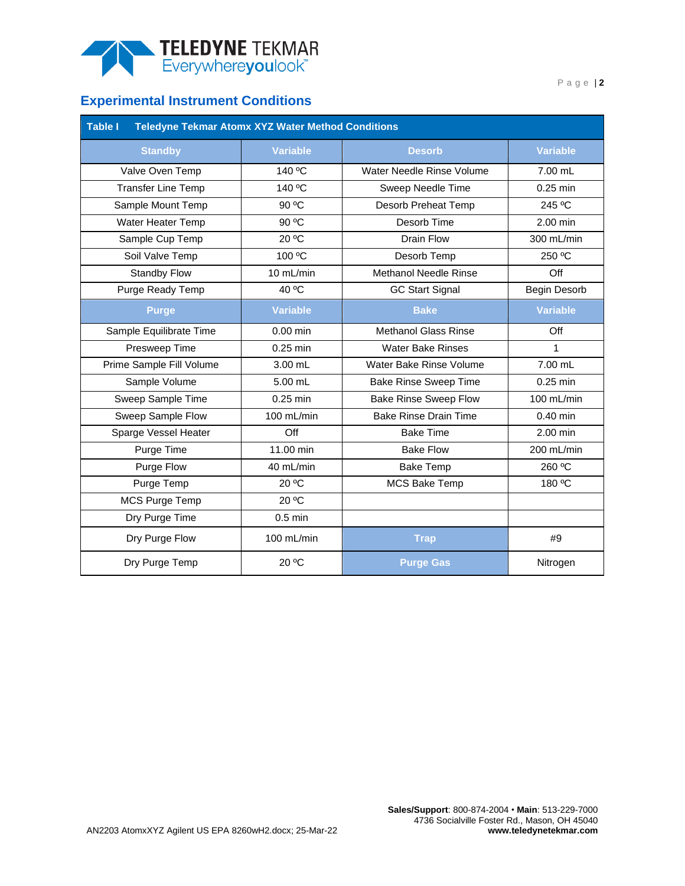

# **Experimental Instrument Conditions**

<span id="page-1-0"></span>

| Table I<br><b>Teledyne Tekmar Atomx XYZ Water Method Conditions</b> |                 |                              |                 |  |  |  |  |  |  |  |
|---------------------------------------------------------------------|-----------------|------------------------------|-----------------|--|--|--|--|--|--|--|
| <b>Standby</b>                                                      | <b>Variable</b> | <b>Desorb</b>                | <b>Variable</b> |  |  |  |  |  |  |  |
| Valve Oven Temp                                                     | 140 °C          | Water Needle Rinse Volume    | 7.00 mL         |  |  |  |  |  |  |  |
| <b>Transfer Line Temp</b>                                           | 140 °C          | Sweep Needle Time            | 0.25 min        |  |  |  |  |  |  |  |
| Sample Mount Temp                                                   | 90 °C           | Desorb Preheat Temp          | 245 °C          |  |  |  |  |  |  |  |
| <b>Water Heater Temp</b>                                            | 90 °C           | Desorb Time                  | 2.00 min        |  |  |  |  |  |  |  |
| Sample Cup Temp                                                     | 20 °C           | Drain Flow                   | 300 mL/min      |  |  |  |  |  |  |  |
| Soil Valve Temp                                                     | 100 °C          | Desorb Temp                  | 250 °C          |  |  |  |  |  |  |  |
| <b>Standby Flow</b>                                                 | 10 mL/min       | <b>Methanol Needle Rinse</b> | Off             |  |  |  |  |  |  |  |
| Purge Ready Temp                                                    | 40 °C           | <b>GC Start Signal</b>       | Begin Desorb    |  |  |  |  |  |  |  |
| <b>Purge</b>                                                        | <b>Variable</b> | <b>Bake</b>                  | <b>Variable</b> |  |  |  |  |  |  |  |
| Sample Equilibrate Time                                             | $0.00$ min      | <b>Methanol Glass Rinse</b>  | Off             |  |  |  |  |  |  |  |
| Presweep Time                                                       | 0.25 min        | <b>Water Bake Rinses</b>     | $\mathbf{1}$    |  |  |  |  |  |  |  |
| Prime Sample Fill Volume                                            | 3.00 mL         | Water Bake Rinse Volume      | 7.00 mL         |  |  |  |  |  |  |  |
| Sample Volume                                                       | 5.00 mL         | <b>Bake Rinse Sweep Time</b> | $0.25$ min      |  |  |  |  |  |  |  |
| Sweep Sample Time                                                   | $0.25$ min      | <b>Bake Rinse Sweep Flow</b> | 100 mL/min      |  |  |  |  |  |  |  |
| Sweep Sample Flow                                                   | 100 mL/min      | <b>Bake Rinse Drain Time</b> | $0.40$ min      |  |  |  |  |  |  |  |
| Sparge Vessel Heater                                                | Off             | <b>Bake Time</b>             | 2.00 min        |  |  |  |  |  |  |  |
| Purge Time                                                          | 11.00 min       | <b>Bake Flow</b>             | 200 mL/min      |  |  |  |  |  |  |  |
| Purge Flow                                                          | 40 mL/min       | <b>Bake Temp</b>             | 260 °C          |  |  |  |  |  |  |  |
| Purge Temp                                                          | 20 °C           | <b>MCS Bake Temp</b>         | 180 °C          |  |  |  |  |  |  |  |
| MCS Purge Temp                                                      | 20 °C           |                              |                 |  |  |  |  |  |  |  |
| Dry Purge Time                                                      | $0.5$ min       |                              |                 |  |  |  |  |  |  |  |
| Dry Purge Flow                                                      | 100 mL/min      | <b>Trap</b>                  | #9              |  |  |  |  |  |  |  |
| Dry Purge Temp                                                      | 20 °C           | <b>Purge Gas</b>             | Nitrogen        |  |  |  |  |  |  |  |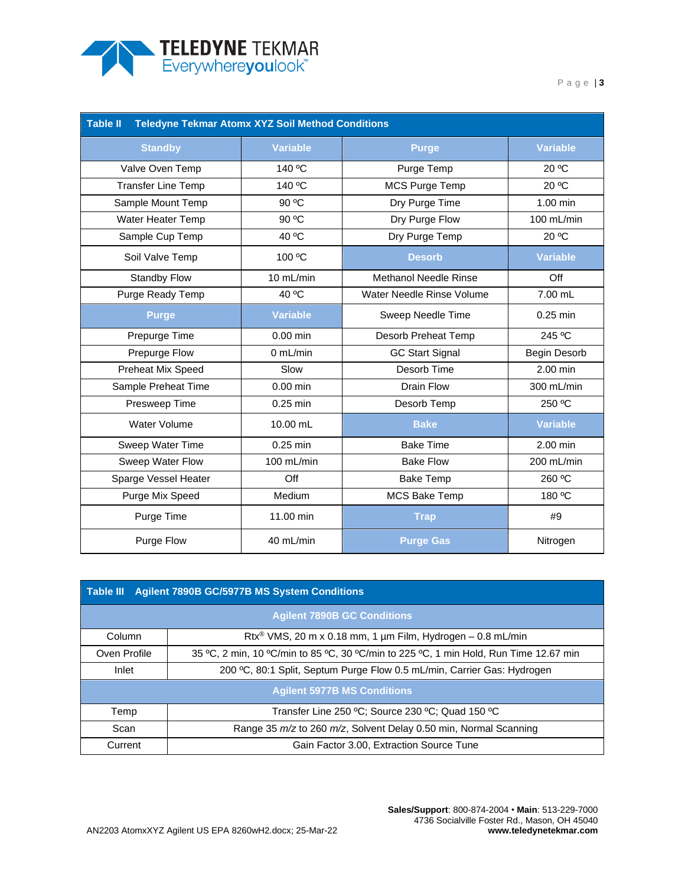

P a g e | **3**

<span id="page-2-0"></span>

| <b>Table II</b><br><b>Teledyne Tekmar Atomx XYZ Soil Method Conditions</b> |                 |                              |                 |  |  |  |  |  |  |  |
|----------------------------------------------------------------------------|-----------------|------------------------------|-----------------|--|--|--|--|--|--|--|
| <b>Standby</b>                                                             | <b>Variable</b> | <b>Purge</b>                 | <b>Variable</b> |  |  |  |  |  |  |  |
| Valve Oven Temp                                                            | 140 °C          | Purge Temp                   | 20 °C           |  |  |  |  |  |  |  |
| <b>Transfer Line Temp</b>                                                  | 140 °C          | <b>MCS Purge Temp</b>        | 20 °C           |  |  |  |  |  |  |  |
| Sample Mount Temp                                                          | 90 °C           | Dry Purge Time               | 1.00 min        |  |  |  |  |  |  |  |
| Water Heater Temp                                                          | 90 °C           | Dry Purge Flow               | 100 mL/min      |  |  |  |  |  |  |  |
| Sample Cup Temp                                                            | 40 °C           | Dry Purge Temp               | 20 °C           |  |  |  |  |  |  |  |
| Soil Valve Temp                                                            | 100 °C          | <b>Desorb</b>                | <b>Variable</b> |  |  |  |  |  |  |  |
| <b>Standby Flow</b>                                                        | 10 mL/min       | <b>Methanol Needle Rinse</b> | Off             |  |  |  |  |  |  |  |
| Purge Ready Temp                                                           | 40 °C           | Water Needle Rinse Volume    | 7.00 mL         |  |  |  |  |  |  |  |
| <b>Purge</b>                                                               | <b>Variable</b> | Sweep Needle Time            | $0.25$ min      |  |  |  |  |  |  |  |
| Prepurge Time                                                              | $0.00$ min      | Desorb Preheat Temp          | 245 °C          |  |  |  |  |  |  |  |
| Prepurge Flow                                                              | 0 mL/min        | <b>GC Start Signal</b>       | Begin Desorb    |  |  |  |  |  |  |  |
| Preheat Mix Speed                                                          | Slow            | Desorb Time                  | 2.00 min        |  |  |  |  |  |  |  |
| Sample Preheat Time                                                        | $0.00$ min      | <b>Drain Flow</b>            | 300 mL/min      |  |  |  |  |  |  |  |
| Presweep Time                                                              | 0.25 min        | Desorb Temp                  | 250 °C          |  |  |  |  |  |  |  |
| Water Volume                                                               | 10.00 mL        | <b>Bake</b>                  | <b>Variable</b> |  |  |  |  |  |  |  |
| Sweep Water Time                                                           | 0.25 min        | <b>Bake Time</b>             | 2.00 min        |  |  |  |  |  |  |  |
| Sweep Water Flow                                                           | 100 mL/min      | <b>Bake Flow</b>             | 200 mL/min      |  |  |  |  |  |  |  |
| Sparge Vessel Heater                                                       | Off             | <b>Bake Temp</b>             | 260 °C          |  |  |  |  |  |  |  |
| Purge Mix Speed                                                            | <b>Medium</b>   | <b>MCS Bake Temp</b>         | 180 °C          |  |  |  |  |  |  |  |
| Purge Time                                                                 | 11.00 min       | <b>Trap</b>                  | #9              |  |  |  |  |  |  |  |
| Purge Flow                                                                 | 40 mL/min       | <b>Purge Gas</b>             | Nitrogen        |  |  |  |  |  |  |  |

<span id="page-2-1"></span>

|                                                                                  | Table III Agilent 7890B GC/5977B MS System Conditions                                 |  |  |  |  |  |  |  |  |  |
|----------------------------------------------------------------------------------|---------------------------------------------------------------------------------------|--|--|--|--|--|--|--|--|--|
|                                                                                  | <b>Agilent 7890B GC Conditions</b>                                                    |  |  |  |  |  |  |  |  |  |
| Column                                                                           | Rtx <sup>®</sup> VMS, 20 m x 0.18 mm, 1 $\mu$ m Film, Hydrogen – 0.8 mL/min           |  |  |  |  |  |  |  |  |  |
| Oven Profile                                                                     | 35 °C, 2 min, 10 °C/min to 85 °C, 30 °C/min to 225 °C, 1 min Hold, Run Time 12.67 min |  |  |  |  |  |  |  |  |  |
| 200 °C, 80:1 Split, Septum Purge Flow 0.5 mL/min, Carrier Gas: Hydrogen<br>Inlet |                                                                                       |  |  |  |  |  |  |  |  |  |
|                                                                                  | <b>Agilent 5977B MS Conditions</b>                                                    |  |  |  |  |  |  |  |  |  |
| Temp                                                                             | Transfer Line 250 °C; Source 230 °C; Quad 150 °C                                      |  |  |  |  |  |  |  |  |  |
| Scan                                                                             | Range 35 m/z to 260 m/z, Solvent Delay 0.50 min, Normal Scanning                      |  |  |  |  |  |  |  |  |  |
| Current                                                                          | Gain Factor 3.00, Extraction Source Tune                                              |  |  |  |  |  |  |  |  |  |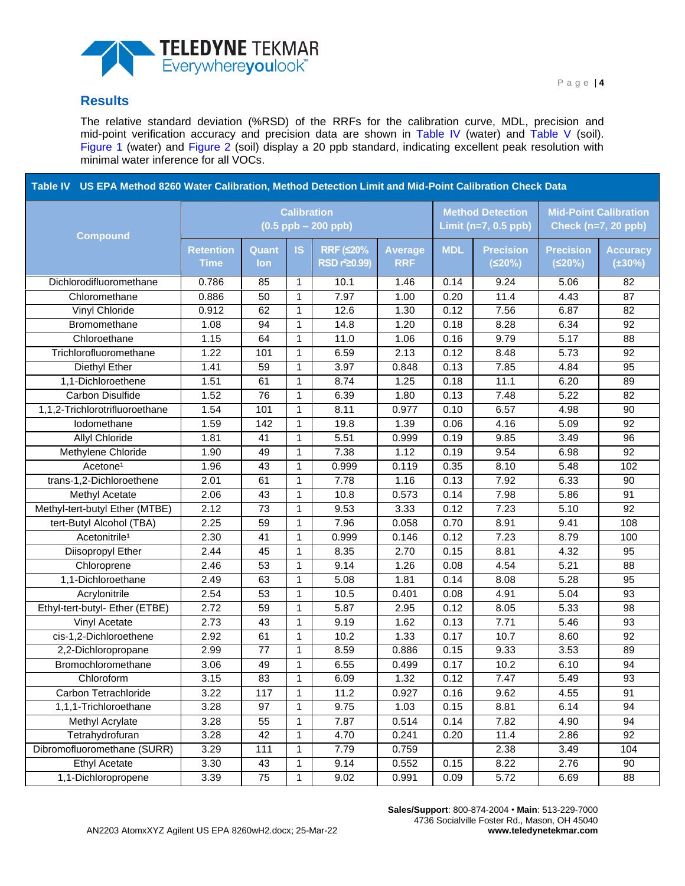

### **Results**

The relative standard deviation (%RSD) of the RRFs for the calibration curve, MDL, precision and mid-point verification accuracy and precision data are shown in [Table IV](#page-3-0) (water) and [Table V](#page-5-0) (soil). [Figure 1](#page-8-0) (water) and [Figure 2](#page-9-0) (soil) display a 20 ppb standard, indicating excellent peak resolution with minimal water inference for all VOCs.

<span id="page-3-0"></span>

| Table IV US EPA Method 8260 Water Calibration, Method Detection Limit and Mid-Point Calibration Check Data |                                 |                     |                    |                                                    |                                                   |            |                                                     |                            |                                 |
|------------------------------------------------------------------------------------------------------------|---------------------------------|---------------------|--------------------|----------------------------------------------------|---------------------------------------------------|------------|-----------------------------------------------------|----------------------------|---------------------------------|
| <b>Compound</b>                                                                                            |                                 |                     | <b>Calibration</b> | $(0.5$ ppb $- 200$ ppb)                            | <b>Method Detection</b><br>Limit $(n=7, 0.5$ ppb) |            | <b>Mid-Point Calibration</b><br>Check (n=7, 20 ppb) |                            |                                 |
|                                                                                                            | <b>Retention</b><br><b>Time</b> | Quant<br><b>lon</b> | <b>IS</b>          | <b>RRF (≤20%</b><br><b>RSD r<sup>2</sup>20.99)</b> | <b>Average</b><br><b>RRF</b>                      | <b>MDL</b> | <b>Precision</b><br>(520%)                          | <b>Precision</b><br>(520%) | <b>Accuracy</b><br>$(\pm 30\%)$ |
| Dichlorodifluoromethane                                                                                    | 0.786                           | 85                  | $\mathbf{1}$       | 10.1                                               | 1.46                                              | 0.14       | 9.24                                                | 5.06                       | 82                              |
| Chloromethane                                                                                              | 0.886                           | 50                  | $\mathbf{1}$       | 7.97                                               | 1.00                                              | 0.20       | 11.4                                                | 4.43                       | 87                              |
| <b>Vinyl Chloride</b>                                                                                      | 0.912                           | 62                  | $\mathbf{1}$       | 12.6                                               | 1.30                                              | 0.12       | 7.56                                                | 6.87                       | 82                              |
| Bromomethane                                                                                               | 1.08                            | 94                  | 1                  | 14.8                                               | 1.20                                              | 0.18       | 8.28                                                | 6.34                       | 92                              |
| Chloroethane                                                                                               | 1.15                            | 64                  | $\mathbf{1}$       | 11.0                                               | 1.06                                              | 0.16       | 9.79                                                | 5.17                       | 88                              |
| Trichlorofluoromethane                                                                                     | 1.22                            | 101                 | 1                  | 6.59                                               | 2.13                                              | 0.12       | 8.48                                                | 5.73                       | 92                              |
| Diethyl Ether                                                                                              | 1.41                            | 59                  | $\mathbf{1}$       | 3.97                                               | 0.848                                             | 0.13       | 7.85                                                | 4.84                       | 95                              |
| 1,1-Dichloroethene                                                                                         | 1.51                            | 61                  | 1                  | 8.74                                               | 1.25                                              | 0.18       | 11.1                                                | 6.20                       | 89                              |
| <b>Carbon Disulfide</b>                                                                                    | 1.52                            | 76                  | 1                  | 6.39                                               | 1.80                                              | 0.13       | 7.48                                                | 5.22                       | 82                              |
| 1,1,2-Trichlorotrifluoroethane                                                                             | 1.54                            | 101                 | $\mathbf{1}$       | 8.11                                               | 0.977                                             | 0.10       | 6.57                                                | 4.98                       | 90                              |
| lodomethane                                                                                                | 1.59                            | 142                 | $\mathbf{1}$       | 19.8                                               | 1.39                                              | 0.06       | 4.16                                                | 5.09                       | 92                              |
| Allyl Chloride                                                                                             | 1.81                            | 41                  | $\mathbf{1}$       | 5.51                                               | 0.999                                             | 0.19       | 9.85                                                | 3.49                       | 96                              |
| Methylene Chloride                                                                                         | 1.90                            | 49                  | $\mathbf{1}$       | 7.38                                               | 1.12                                              | 0.19       | 9.54                                                | 6.98                       | 92                              |
| Acetone <sup>1</sup>                                                                                       | 1.96                            | 43                  | $\mathbf{1}$       | 0.999                                              | 0.119                                             | 0.35       | 8.10                                                | 5.48                       | 102                             |
| trans-1,2-Dichloroethene                                                                                   | 2.01                            | 61                  | $\mathbf{1}$       | 7.78                                               | 1.16                                              | 0.13       | 7.92                                                | 6.33                       | 90                              |
| Methyl Acetate                                                                                             | 2.06                            | 43                  | $\mathbf{1}$       | 10.8                                               | 0.573                                             | 0.14       | 7.98                                                | 5.86                       | 91                              |
| Methyl-tert-butyl Ether (MTBE)                                                                             | 2.12                            | 73                  | $\mathbf{1}$       | 9.53                                               | 3.33                                              | 0.12       | 7.23                                                | 5.10                       | 92                              |
| tert-Butyl Alcohol (TBA)                                                                                   | 2.25                            | 59                  | 1                  | 7.96                                               | 0.058                                             | 0.70       | 8.91                                                | 9.41                       | 108                             |
| Acetonitrile <sup>1</sup>                                                                                  | 2.30                            | 41                  | $\mathbf{1}$       | 0.999                                              | 0.146                                             | 0.12       | 7.23                                                | 8.79                       | 100                             |
| Diisopropyl Ether                                                                                          | 2.44                            | 45                  | $\mathbf{1}$       | 8.35                                               | 2.70                                              | 0.15       | 8.81                                                | 4.32                       | 95                              |
| Chloroprene                                                                                                | 2.46                            | 53                  | $\mathbf{1}$       | 9.14                                               | 1.26                                              | 0.08       | 4.54                                                | 5.21                       | 88                              |
| 1,1-Dichloroethane                                                                                         | 2.49                            | 63                  | 1                  | 5.08                                               | 1.81                                              | 0.14       | 8.08                                                | 5.28                       | 95                              |
| Acrylonitrile                                                                                              | 2.54                            | 53                  | 1                  | 10.5                                               | 0.401                                             | 0.08       | 4.91                                                | 5.04                       | 93                              |
| Ethyl-tert-butyl- Ether (ETBE)                                                                             | 2.72                            | 59                  | $\mathbf{1}$       | 5.87                                               | 2.95                                              | 0.12       | 8.05                                                | 5.33                       | 98                              |
| Vinyl Acetate                                                                                              | 2.73                            | 43                  | $\mathbf{1}$       | 9.19                                               | 1.62                                              | 0.13       | 7.71                                                | 5.46                       | 93                              |
| cis-1,2-Dichloroethene                                                                                     | 2.92                            | 61                  | $\mathbf{1}$       | 10.2                                               | 1.33                                              | 0.17       | 10.7                                                | 8.60                       | 92                              |
| 2,2-Dichloropropane                                                                                        | 2.99                            | 77                  | 1                  | 8.59                                               | 0.886                                             | 0.15       | 9.33                                                | 3.53                       | 89                              |
| Bromochloromethane                                                                                         | 3.06                            | 49                  | 1                  | 6.55                                               | 0.499                                             | 0.17       | 10.2                                                | 6.10                       | 94                              |
| Chloroform                                                                                                 | 3.15                            | 83                  | 1                  | 6.09                                               | 1.32                                              | 0.12       | 7.47                                                | 5.49                       | 93                              |
| Carbon Tetrachloride                                                                                       | 3.22                            | 117                 | $\mathbf{1}$       | 11.2                                               | 0.927                                             | 0.16       | 9.62                                                | 4.55                       | 91                              |
| 1,1,1-Trichloroethane                                                                                      | 3.28                            | 97                  | 1                  | 9.75                                               | 1.03                                              | 0.15       | 8.81                                                | 6.14                       | 94                              |
| Methyl Acrylate                                                                                            | 3.28                            | 55                  | 1                  | 7.87                                               | 0.514                                             | 0.14       | 7.82                                                | 4.90                       | 94                              |
| Tetrahydrofuran                                                                                            | 3.28                            | 42                  | 1                  | 4.70                                               | 0.241                                             | 0.20       | 11.4                                                | 2.86                       | 92                              |
| Dibromofluoromethane (SURR)                                                                                | 3.29                            | 111                 | 1                  | 7.79                                               | 0.759                                             |            | 2.38                                                | 3.49                       | 104                             |
| <b>Ethyl Acetate</b>                                                                                       | 3.30                            | 43                  | 1                  | 9.14                                               | 0.552                                             | 0.15       | 8.22                                                | 2.76                       | 90                              |
| 1,1-Dichloropropene                                                                                        | 3.39                            | 75                  | 1                  | 9.02                                               | 0.991                                             | 0.09       | 5.72                                                | 6.69                       | 88                              |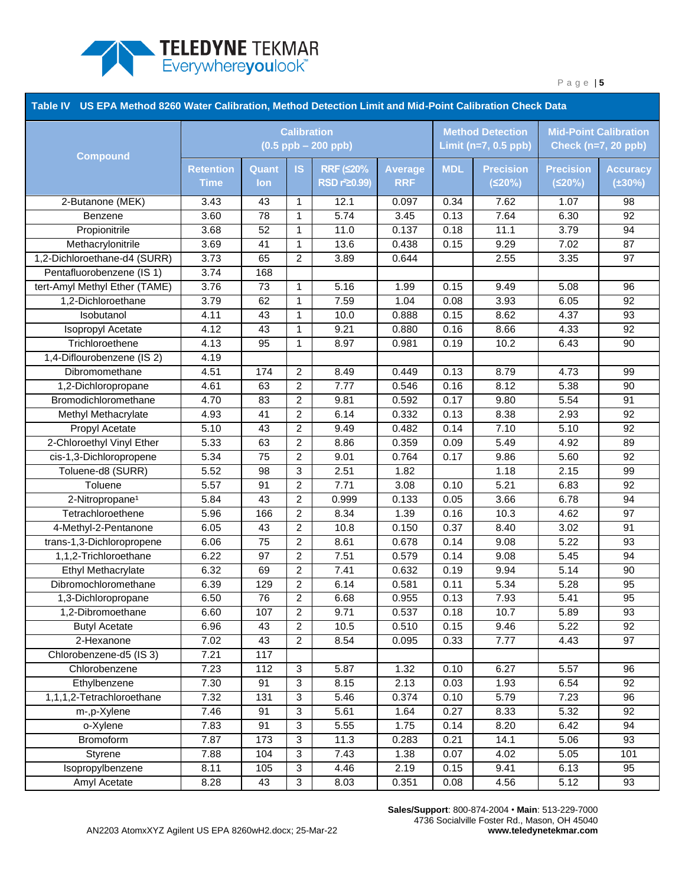

|                               | Table IV US EPA Method 8260 Water Calibration, Method Detection Limit and Mid-Point Calibration Check Data<br><b>Method Detection</b> |                                               |                  |                           |                |            |                  |                  |                                                            |  |
|-------------------------------|---------------------------------------------------------------------------------------------------------------------------------------|-----------------------------------------------|------------------|---------------------------|----------------|------------|------------------|------------------|------------------------------------------------------------|--|
| <b>Compound</b>               |                                                                                                                                       | <b>Calibration</b><br>$(0.5$ ppb $- 200$ ppb) |                  |                           |                |            |                  |                  | <b>Mid-Point Calibration</b><br><b>Check (n=7, 20 ppb)</b> |  |
|                               | Retention                                                                                                                             | Quant                                         | <b>IS</b>        | <b>RRF (≤20%</b>          | <b>Average</b> | <b>MDL</b> | <b>Precision</b> | <b>Precision</b> | <b>Accuracy</b>                                            |  |
|                               | <b>Time</b>                                                                                                                           | <b>lon</b>                                    |                  | RSD r <sup>2</sup> 20.99) | <b>RRF</b>     |            | (520%)           | (520%)           | $(\pm 30\%)$                                               |  |
| 2-Butanone (MEK)              | 3.43                                                                                                                                  | 43                                            | 1                | 12.1                      | 0.097          | 0.34       | 7.62             | 1.07             | 98                                                         |  |
| Benzene                       | 3.60                                                                                                                                  | 78                                            | $\mathbf 1$      | 5.74                      | 3.45           | 0.13       | 7.64             | 6.30             | 92                                                         |  |
| Propionitrile                 | 3.68                                                                                                                                  | 52                                            | 1                | 11.0                      | 0.137          | 0.18       | 11.1             | 3.79             | 94                                                         |  |
| Methacrylonitrile             | 3.69                                                                                                                                  | 41                                            | 1                | 13.6                      | 0.438          | 0.15       | 9.29             | 7.02             | 87                                                         |  |
| 1,2-Dichloroethane-d4 (SURR)  | 3.73                                                                                                                                  | 65                                            | $\overline{c}$   | 3.89                      | 0.644          |            | 2.55             | 3.35             | 97                                                         |  |
| Pentafluorobenzene (IS 1)     | 3.74                                                                                                                                  | 168                                           |                  |                           |                |            |                  |                  |                                                            |  |
| tert-Amyl Methyl Ether (TAME) | 3.76                                                                                                                                  | 73                                            | $\mathbf{1}$     | 5.16                      | 1.99           | 0.15       | 9.49             | 5.08             | 96                                                         |  |
| 1,2-Dichloroethane            | 3.79                                                                                                                                  | 62                                            | $\mathbf{1}$     | 7.59                      | 1.04           | 0.08       | 3.93             | 6.05             | 92                                                         |  |
| Isobutanol                    | 4.11                                                                                                                                  | 43                                            | $\mathbf 1$      | 10.0                      | 0.888          | 0.15       | 8.62             | 4.37             | 93                                                         |  |
| <b>Isopropyl Acetate</b>      | 4.12                                                                                                                                  | 43                                            | $\mathbf 1$      | 9.21                      | 0.880          | 0.16       | 8.66             | 4.33             | 92                                                         |  |
| Trichloroethene               | 4.13                                                                                                                                  | 95                                            | $\mathbf 1$      | 8.97                      | 0.981          | 0.19       | 10.2             | 6.43             | 90                                                         |  |
| 1,4-Diflourobenzene (IS 2)    | 4.19                                                                                                                                  |                                               |                  |                           |                |            |                  |                  |                                                            |  |
| Dibromomethane                | 4.51                                                                                                                                  | 174                                           | $\overline{2}$   | 8.49                      | 0.449          | 0.13       | 8.79             | 4.73             | 99                                                         |  |
| 1,2-Dichloropropane           | 4.61                                                                                                                                  | 63                                            | $\overline{c}$   | 7.77                      | 0.546          | 0.16       | 8.12             | 5.38             | 90                                                         |  |
| Bromodichloromethane          | 4.70                                                                                                                                  | 83                                            | $\overline{2}$   | 9.81                      | 0.592          | 0.17       | 9.80             | 5.54             | 91                                                         |  |
| Methyl Methacrylate           | 4.93                                                                                                                                  | 41                                            | $\overline{c}$   | 6.14                      | 0.332          | 0.13       | 8.38             | 2.93             | 92                                                         |  |
| <b>Propyl Acetate</b>         | 5.10                                                                                                                                  | 43                                            | $\overline{c}$   | 9.49                      | 0.482          | 0.14       | 7.10             | 5.10             | $\overline{92}$                                            |  |
| 2-Chloroethyl Vinyl Ether     | 5.33                                                                                                                                  | 63                                            | $\overline{c}$   | 8.86                      | 0.359          | 0.09       | 5.49             | 4.92             | 89                                                         |  |
| cis-1,3-Dichloropropene       | 5.34                                                                                                                                  | 75                                            | $\overline{c}$   | 9.01                      | 0.764          | 0.17       | 9.86             | 5.60             | 92                                                         |  |
| Toluene-d8 (SURR)             | 5.52                                                                                                                                  | 98                                            | 3                | 2.51                      | 1.82           |            | 1.18             | 2.15             | 99                                                         |  |
| Toluene                       | 5.57                                                                                                                                  | 91                                            | $\boldsymbol{2}$ | 7.71                      | 3.08           | 0.10       | 5.21             | 6.83             | 92                                                         |  |
| 2-Nitropropane <sup>1</sup>   | 5.84                                                                                                                                  | 43                                            | $\overline{c}$   | 0.999                     | 0.133          | 0.05       | 3.66             | 6.78             | 94                                                         |  |
| Tetrachloroethene             | 5.96                                                                                                                                  | 166                                           | $\overline{c}$   | 8.34                      | 1.39           | 0.16       | 10.3             | 4.62             | 97                                                         |  |
| 4-Methyl-2-Pentanone          | 6.05                                                                                                                                  | 43                                            | $\overline{2}$   | 10.8                      | 0.150          | 0.37       | 8.40             | 3.02             | 91                                                         |  |
| trans-1,3-Dichloropropene     | 6.06                                                                                                                                  | 75                                            | $\overline{c}$   | 8.61                      | 0.678          | 0.14       | 9.08             | 5.22             | 93                                                         |  |
| 1,1,2-Trichloroethane         | 6.22                                                                                                                                  | 97                                            | $\overline{c}$   | 7.51                      | 0.579          | 0.14       | 9.08             | 5.45             | 94                                                         |  |
| Ethyl Methacrylate            | 6.32                                                                                                                                  | 69                                            | $\overline{c}$   | 7.41                      | 0.632          | 0.19       | 9.94             | 5.14             | 90                                                         |  |
| Dibromochloromethane          | 6.39                                                                                                                                  | 129                                           | $\overline{c}$   | 6.14                      | 0.581          | 0.11       | 5.34             | 5.28             | 95                                                         |  |
| 1,3-Dichloropropane           | 6.50                                                                                                                                  | 76                                            | $\overline{2}$   | 6.68                      | 0.955          | 0.13       | 7.93             | 5.41             | 95                                                         |  |
| 1,2-Dibromoethane             | 6.60                                                                                                                                  | 107                                           | $\boldsymbol{2}$ | 9.71                      | 0.537          | 0.18       | 10.7             | 5.89             | 93                                                         |  |
| <b>Butyl Acetate</b>          | 6.96                                                                                                                                  | 43                                            | $\overline{c}$   | 10.5                      | 0.510          | 0.15       | 9.46             | 5.22             | 92                                                         |  |
| 2-Hexanone                    | 7.02                                                                                                                                  | 43                                            | $\overline{c}$   | 8.54                      | 0.095          | 0.33       | 7.77             | 4.43             | 97                                                         |  |
| Chlorobenzene-d5 (IS 3)       | 7.21                                                                                                                                  | 117                                           |                  |                           |                |            |                  |                  |                                                            |  |
| Chlorobenzene                 | 7.23                                                                                                                                  | 112                                           | $\mathbf{3}$     | $\overline{5.87}$         | 1.32           | 0.10       | 6.27             | 5.57             | 96                                                         |  |
| Ethylbenzene                  | 7.30                                                                                                                                  | 91                                            | $\mathbf{3}$     | 8.15                      | 2.13           | 0.03       | 1.93             | 6.54             | 92                                                         |  |
| 1,1,1,2-Tetrachloroethane     | 7.32                                                                                                                                  | 131                                           | 3                | 5.46                      | 0.374          | 0.10       | 5.79             | 7.23             | 96                                                         |  |
| m-,p-Xylene                   | 7.46                                                                                                                                  | 91                                            | $\mathbf{3}$     | 5.61                      | 1.64           | 0.27       | 8.33             | 5.32             | 92                                                         |  |
| o-Xylene                      | 7.83                                                                                                                                  | 91                                            | $\mathbf{3}$     | 5.55                      | 1.75           | 0.14       | 8.20             | 6.42             | 94                                                         |  |
| Bromoform                     | 7.87                                                                                                                                  | 173                                           | 3                | 11.3                      | 0.283          | 0.21       | 14.1             | 5.06             | 93                                                         |  |
| Styrene                       | 7.88                                                                                                                                  | 104                                           | 3                | 7.43                      | 1.38           | 0.07       | 4.02             | 5.05             | 101                                                        |  |
| Isopropylbenzene              | 8.11                                                                                                                                  | 105                                           | 3                | 4.46                      | 2.19           | 0.15       | 9.41             | 6.13             | 95                                                         |  |
| Amyl Acetate                  | 8.28                                                                                                                                  | 43                                            | $\mathbf{3}$     | 8.03                      | 0.351          | 0.08       | 4.56             | 5.12             | 93                                                         |  |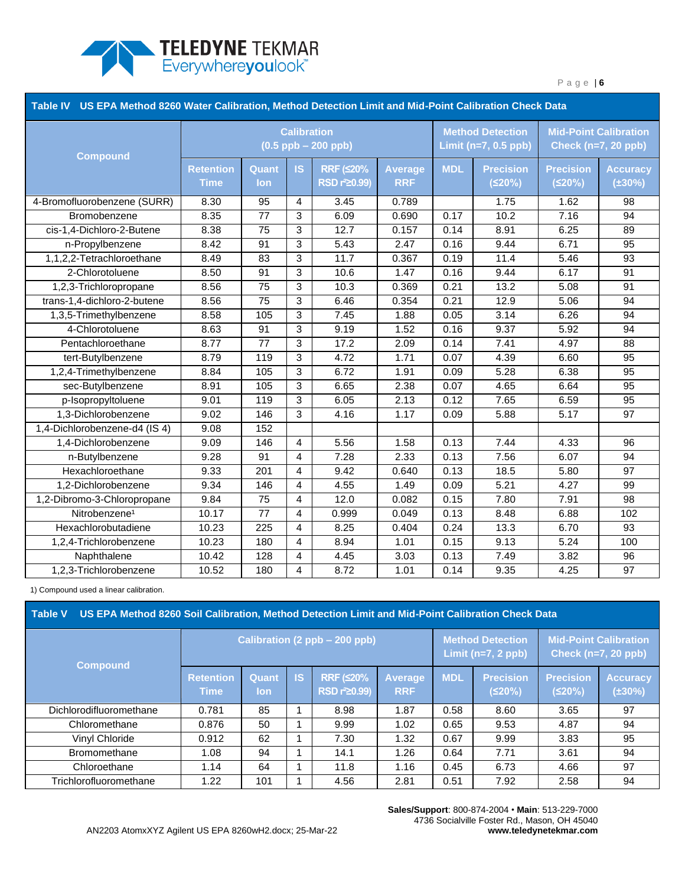

| Table IV US EPA Method 8260 Water Calibration, Method Detection Limit and Mid-Point Calibration Check Data |                                               |                 |                |                                               |                              |            |                                                     |                                                            |                                 |
|------------------------------------------------------------------------------------------------------------|-----------------------------------------------|-----------------|----------------|-----------------------------------------------|------------------------------|------------|-----------------------------------------------------|------------------------------------------------------------|---------------------------------|
| <b>Compound</b>                                                                                            | <b>Calibration</b><br>$(0.5$ ppb $- 200$ ppb) |                 |                |                                               |                              |            | <b>Method Detection</b><br>Limit ( $n=7$ , 0.5 ppb) | <b>Mid-Point Calibration</b><br><b>Check (n=7, 20 ppb)</b> |                                 |
|                                                                                                            | <b>Retention</b><br>Time                      | Quant<br>lon    | <b>IS</b>      | <b>RRF (≤20%</b><br>RSD r <sup>2</sup> 20.99) | <b>Average</b><br><b>RRF</b> | <b>MDL</b> | <b>Precision</b><br>(520%)                          | <b>Precision</b><br>(520%)                                 | <b>Accuracy</b><br>$(\pm 30\%)$ |
| 4-Bromofluorobenzene (SURR)                                                                                | 8.30                                          | 95              | $\overline{4}$ | 3.45                                          | 0.789                        |            | 1.75                                                | 1.62                                                       | 98                              |
| Bromobenzene                                                                                               | 8.35                                          | 77              | 3              | 6.09                                          | 0.690                        | 0.17       | 10.2                                                | 7.16                                                       | 94                              |
| cis-1,4-Dichloro-2-Butene                                                                                  | 8.38                                          | 75              | 3              | 12.7                                          | 0.157                        | 0.14       | 8.91                                                | 6.25                                                       | 89                              |
| n-Propylbenzene                                                                                            | 8.42                                          | 91              | 3              | $\overline{5.43}$                             | 2.47                         | 0.16       | 9.44                                                | 6.71                                                       | $\overline{95}$                 |
| 1,1,2,2-Tetrachloroethane                                                                                  | 8.49                                          | 83              | 3              | 11.7                                          | 0.367                        | 0.19       | 11.4                                                | 5.46                                                       | 93                              |
| 2-Chlorotoluene                                                                                            | 8.50                                          | 91              | 3              | 10.6                                          | 1.47                         | 0.16       | 9.44                                                | 6.17                                                       | 91                              |
| 1,2,3-Trichloropropane                                                                                     | 8.56                                          | 75              | 3              | 10.3                                          | 0.369                        | 0.21       | 13.2                                                | 5.08                                                       | 91                              |
| trans-1,4-dichloro-2-butene                                                                                | 8.56                                          | $\overline{75}$ | 3              | 6.46                                          | 0.354                        | 0.21       | 12.9                                                | 5.06                                                       | 94                              |
| 1,3,5-Trimethylbenzene                                                                                     | 8.58                                          | 105             | 3              | 7.45                                          | 1.88                         | 0.05       | 3.14                                                | 6.26                                                       | 94                              |
| 4-Chlorotoluene                                                                                            | 8.63                                          | 91              | 3              | 9.19                                          | 1.52                         | 0.16       | 9.37                                                | 5.92                                                       | 94                              |
| Pentachloroethane                                                                                          | 8.77                                          | 77              | 3              | 17.2                                          | 2.09                         | 0.14       | 7.41                                                | 4.97                                                       | 88                              |
| tert-Butylbenzene                                                                                          | 8.79                                          | 119             | 3              | 4.72                                          | 1.71                         | 0.07       | 4.39                                                | 6.60                                                       | $\overline{95}$                 |
| 1,2,4-Trimethylbenzene                                                                                     | 8.84                                          | 105             | 3              | 6.72                                          | 1.91                         | 0.09       | 5.28                                                | 6.38                                                       | 95                              |
| sec-Butylbenzene                                                                                           | 8.91                                          | 105             | 3              | 6.65                                          | 2.38                         | 0.07       | 4.65                                                | 6.64                                                       | 95                              |
| p-Isopropyltoluene                                                                                         | 9.01                                          | 119             | 3              | 6.05                                          | 2.13                         | 0.12       | 7.65                                                | 6.59                                                       | $\overline{95}$                 |
| 1,3-Dichlorobenzene                                                                                        | 9.02                                          | 146             | 3              | 4.16                                          | 1.17                         | 0.09       | 5.88                                                | 5.17                                                       | 97                              |
| 1,4-Dichlorobenzene-d4 (IS 4)                                                                              | 9.08                                          | 152             |                |                                               |                              |            |                                                     |                                                            |                                 |
| 1,4-Dichlorobenzene                                                                                        | 9.09                                          | 146             | 4              | 5.56                                          | 1.58                         | 0.13       | 7.44                                                | 4.33                                                       | 96                              |
| n-Butylbenzene                                                                                             | 9.28                                          | 91              | $\overline{4}$ | 7.28                                          | 2.33                         | 0.13       | 7.56                                                | 6.07                                                       | 94                              |
| Hexachloroethane                                                                                           | 9.33                                          | 201             | 4              | 9.42                                          | 0.640                        | 0.13       | 18.5                                                | 5.80                                                       | 97                              |
| 1,2-Dichlorobenzene                                                                                        | 9.34                                          | 146             | 4              | 4.55                                          | 1.49                         | 0.09       | 5.21                                                | 4.27                                                       | 99                              |
| 1,2-Dibromo-3-Chloropropane                                                                                | 9.84                                          | 75              | $\overline{4}$ | 12.0                                          | 0.082                        | 0.15       | 7.80                                                | 7.91                                                       | 98                              |
| Nitrobenzene <sup>1</sup>                                                                                  | 10.17                                         | 77              | $\overline{4}$ | 0.999                                         | 0.049                        | 0.13       | 8.48                                                | 6.88                                                       | 102                             |
| Hexachlorobutadiene                                                                                        | 10.23                                         | 225             | $\overline{4}$ | 8.25                                          | 0.404                        | 0.24       | 13.3                                                | 6.70                                                       | 93                              |
| 1,2,4-Trichlorobenzene                                                                                     | 10.23                                         | 180             | 4              | 8.94                                          | 1.01                         | 0.15       | 9.13                                                | 5.24                                                       | 100                             |
| Naphthalene                                                                                                | 10.42                                         | 128             | 4              | 4.45                                          | 3.03                         | 0.13       | 7.49                                                | 3.82                                                       | 96                              |
| 1,2,3-Trichlorobenzene                                                                                     | 10.52                                         | 180             | 4              | 8.72                                          | 1.01                         | 0.14       | 9.35                                                | 4.25                                                       | $\overline{97}$                 |

1) Compound used a linear calibration.

<span id="page-5-0"></span>

|  | Table V US EPA Method 8260 Soil Calibration. Method Detection Limit and Mid-Point Calibration Check Data |
|--|----------------------------------------------------------------------------------------------------------|
|  |                                                                                                          |

| <b>Compound</b>         | Calibration (2 ppb - 200 ppb)   |                     |    |                                          |                              |            | <b>Method Detection</b><br>Limit (n=7, 2 ppb) |                            | <b>Mid-Point Calibration</b><br>Check $(n=7, 20$ ppb) |  |
|-------------------------|---------------------------------|---------------------|----|------------------------------------------|------------------------------|------------|-----------------------------------------------|----------------------------|-------------------------------------------------------|--|
|                         | <b>Retention</b><br><b>Time</b> | Quant<br><b>lon</b> | IS | RRF $(520%$<br>RSD r <sup>2</sup> 20.99) | <b>Average</b><br><b>RRF</b> | <b>MDL</b> | <b>Precision</b><br>(520%)                    | <b>Precision</b><br>(520%) | <b>Accuracy</b><br>$(\pm 30\%)$                       |  |
| Dichlorodifluoromethane | 0.781                           | 85                  |    | 8.98                                     | 1.87                         | 0.58       | 8.60                                          | 3.65                       | 97                                                    |  |
| Chloromethane           | 0.876                           | 50                  |    | 9.99                                     | 1.02                         | 0.65       | 9.53                                          | 4.87                       | 94                                                    |  |
| Vinyl Chloride          | 0.912                           | 62                  |    | 7.30                                     | 1.32                         | 0.67       | 9.99                                          | 3.83                       | 95                                                    |  |
| <b>Bromomethane</b>     | 1.08                            | 94                  |    | 14.1                                     | 1.26                         | 0.64       | 7.71                                          | 3.61                       | 94                                                    |  |
| Chloroethane            | 1.14                            | 64                  |    | 11.8                                     | 1.16                         | 0.45       | 6.73                                          | 4.66                       | 97                                                    |  |
| Trichlorofluoromethane  | 1.22                            | 101                 |    | 4.56                                     | 2.81                         | 0.51       | 7.92                                          | 2.58                       | 94                                                    |  |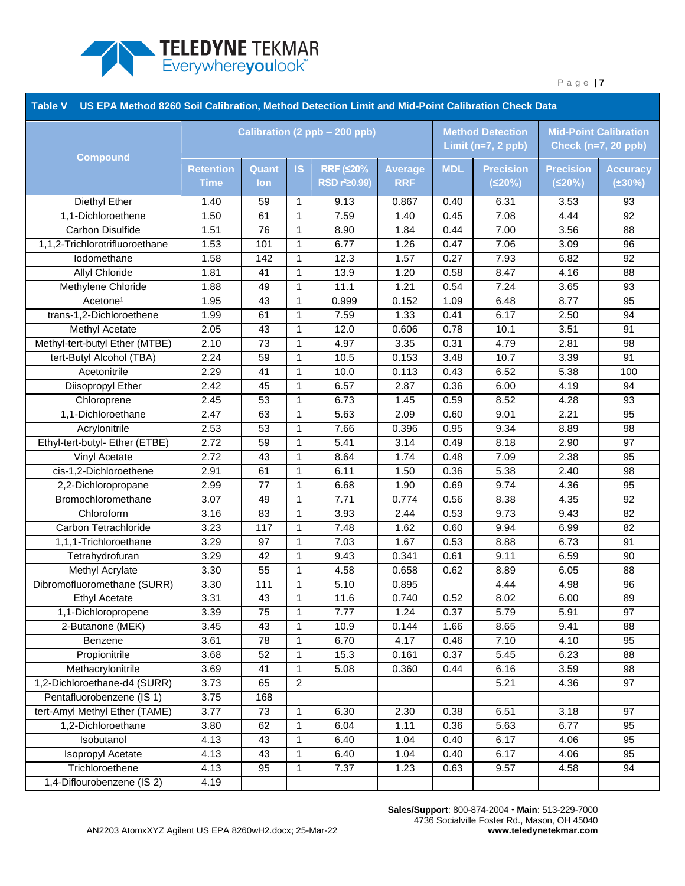

| US EPA Method 8260 Soil Calibration, Method Detection Limit and Mid-Point Calibration Check Data<br><b>Table V</b> |                               |       |                |                           |                |            |                                                 |                                                            |                 |
|--------------------------------------------------------------------------------------------------------------------|-------------------------------|-------|----------------|---------------------------|----------------|------------|-------------------------------------------------|------------------------------------------------------------|-----------------|
| <b>Compound</b>                                                                                                    | Calibration (2 ppb - 200 ppb) |       |                |                           |                |            | <b>Method Detection</b><br>Limit $(n=7, 2$ ppb) | <b>Mid-Point Calibration</b><br><b>Check (n=7, 20 ppb)</b> |                 |
|                                                                                                                    | <b>Retention</b>              | Quant | <b>IS</b>      | <b>RRF (≤20%</b>          | <b>Average</b> | <b>MDL</b> | <b>Precision</b>                                | <b>Precision</b>                                           | <b>Accuracy</b> |
|                                                                                                                    | <b>Time</b>                   | lon   |                | RSD r <sup>2</sup> 20.99) | <b>RRF</b>     |            | (520%)                                          | (520%)                                                     | $(\pm 30\%)$    |
| Diethyl Ether                                                                                                      | 1.40                          | 59    | 1              | 9.13                      | 0.867          | 0.40       | 6.31                                            | 3.53                                                       | 93              |
| 1,1-Dichloroethene                                                                                                 | 1.50                          | 61    | $\mathbf 1$    | 7.59                      | 1.40           | 0.45       | 7.08                                            | 4.44                                                       | 92              |
| Carbon Disulfide                                                                                                   | 1.51                          | 76    | 1              | 8.90                      | 1.84           | 0.44       | 7.00                                            | 3.56                                                       | 88              |
| 1,1,2-Trichlorotrifluoroethane                                                                                     | 1.53                          | 101   | $\mathbf 1$    | 6.77                      | 1.26           | 0.47       | 7.06                                            | 3.09                                                       | 96              |
| lodomethane                                                                                                        | 1.58                          | 142   | $\mathbf{1}$   | 12.3                      | 1.57           | 0.27       | 7.93                                            | 6.82                                                       | 92              |
| Allyl Chloride                                                                                                     | 1.81                          | 41    | $\mathbf{1}$   | 13.9                      | 1.20           | 0.58       | 8.47                                            | 4.16                                                       | 88              |
| Methylene Chloride                                                                                                 | 1.88                          | 49    | $\mathbf{1}$   | 11.1                      | 1.21           | 0.54       | 7.24                                            | 3.65                                                       | 93              |
| Acetone <sup>1</sup>                                                                                               | 1.95                          | 43    | $\mathbf 1$    | 0.999                     | 0.152          | 1.09       | 6.48                                            | 8.77                                                       | 95              |
| trans-1,2-Dichloroethene                                                                                           | 1.99                          | 61    | $\mathbf 1$    | 7.59                      | 1.33           | 0.41       | 6.17                                            | 2.50                                                       | 94              |
| Methyl Acetate                                                                                                     | 2.05                          | 43    | $\mathbf 1$    | 12.0                      | 0.606          | 0.78       | 10.1                                            | 3.51                                                       | 91              |
| Methyl-tert-butyl Ether (MTBE)                                                                                     | 2.10                          | 73    | $\mathbf{1}$   | 4.97                      | 3.35           | 0.31       | $\overline{4.79}$                               | 2.81                                                       | 98              |
| tert-Butyl Alcohol (TBA)                                                                                           | 2.24                          | 59    | $\mathbf 1$    | 10.5                      | 0.153          | 3.48       | 10.7                                            | 3.39                                                       | 91              |
| Acetonitrile                                                                                                       | 2.29                          | 41    | $\mathbf{1}$   | 10.0                      | 0.113          | 0.43       | 6.52                                            | 5.38                                                       | 100             |
| Diisopropyl Ether                                                                                                  | 2.42                          | 45    | $\mathbf{1}$   | 6.57                      | 2.87           | 0.36       | 6.00                                            | 4.19                                                       | 94              |
| Chloroprene                                                                                                        | 2.45                          | 53    | $\mathbf{1}$   | 6.73                      | 1.45           | 0.59       | 8.52                                            | 4.28                                                       | 93              |
| 1,1-Dichloroethane                                                                                                 | 2.47                          | 63    | $\mathbf{1}$   | 5.63                      | 2.09           | 0.60       | 9.01                                            | 2.21                                                       | 95              |
| Acrylonitrile                                                                                                      | 2.53                          | 53    | $\mathbf{1}$   | 7.66                      | 0.396          | 0.95       | 9.34                                            | 8.89                                                       | 98              |
| Ethyl-tert-butyl- Ether (ETBE)                                                                                     | 2.72                          | 59    | $\mathbf{1}$   | 5.41                      | 3.14           | 0.49       | 8.18                                            | 2.90                                                       | 97              |
| Vinyl Acetate                                                                                                      | 2.72                          | 43    | $\mathbf 1$    | 8.64                      | 1.74           | 0.48       | 7.09                                            | 2.38                                                       | 95              |
| cis-1,2-Dichloroethene                                                                                             | 2.91                          | 61    | $\mathbf{1}$   | 6.11                      | 1.50           | 0.36       | 5.38                                            | 2.40                                                       | 98              |
| 2,2-Dichloropropane                                                                                                | 2.99                          | 77    | $\mathbf{1}$   | 6.68                      | 1.90           | 0.69       | 9.74                                            | 4.36                                                       | 95              |
| Bromochloromethane                                                                                                 | 3.07                          | 49    | 1              | 7.71                      | 0.774          | 0.56       | 8.38                                            | 4.35                                                       | 92              |
| Chloroform                                                                                                         | 3.16                          | 83    | $\mathbf{1}$   | 3.93                      | 2.44           | 0.53       | 9.73                                            | 9.43                                                       | 82              |
| Carbon Tetrachloride                                                                                               | 3.23                          | 117   | $\mathbf{1}$   | 7.48                      | 1.62           | 0.60       | 9.94                                            | 6.99                                                       | 82              |
| 1,1,1-Trichloroethane                                                                                              | 3.29                          | 97    | $\mathbf{1}$   | 7.03                      | 1.67           | 0.53       | 8.88                                            | 6.73                                                       | 91              |
| Tetrahydrofuran                                                                                                    | 3.29                          | 42    | $\mathbf 1$    | 9.43                      | 0.341          | 0.61       | 9.11                                            | 6.59                                                       | 90              |
| <b>Methyl Acrylate</b>                                                                                             | 3.30                          | 55    | $\mathbf{1}$   | 4.58                      | 0.658          | 0.62       | 8.89                                            | 6.05                                                       | 88              |
| Dibromofluoromethane (SURR)                                                                                        | 3.30                          | 111   | 1              | 5.10                      | 0.895          |            | 4.44                                            | 4.98                                                       | 96              |
| Ethyl Acetate                                                                                                      | 3.31                          | 43    | $\mathbf{1}$   | 11.6                      | 0.740          | 0.52       | 8.02                                            | 6.00                                                       | 89              |
| 1,1-Dichloropropene                                                                                                | 3.39                          | 75    | 1              | 7.77                      | 1.24           | 0.37       | 5.79                                            | 5.91                                                       | 97              |
| 2-Butanone (MEK)                                                                                                   | 3.45                          | 43    | 1              | 10.9                      | 0.144          | 1.66       | 8.65                                            | 9.41                                                       | 88              |
| Benzene                                                                                                            | 3.61                          | 78    | 1              | 6.70                      | 4.17           | 0.46       | 7.10                                            | 4.10                                                       | 95              |
| Propionitrile                                                                                                      | 3.68                          | 52    | $\mathbf 1$    | 15.3                      | 0.161          | 0.37       | 5.45                                            | 6.23                                                       | 88              |
| Methacrylonitrile                                                                                                  | 3.69                          | 41    | 1              | 5.08                      | 0.360          | 0.44       | 6.16                                            | 3.59                                                       | 98              |
| 1,2-Dichloroethane-d4 (SURR)                                                                                       | 3.73                          | 65    | $\overline{c}$ |                           |                |            | 5.21                                            | 4.36                                                       | 97              |
| Pentafluorobenzene (IS 1)                                                                                          | 3.75                          | 168   |                |                           |                |            |                                                 |                                                            |                 |
| tert-Amyl Methyl Ether (TAME)                                                                                      | 3.77                          | 73    | 1              | 6.30                      | 2.30           | 0.38       | 6.51                                            | 3.18                                                       | 97              |
| 1,2-Dichloroethane                                                                                                 | 3.80                          | 62    | 1              | 6.04                      | 1.11           | 0.36       | 5.63                                            | 6.77                                                       | 95              |
| Isobutanol                                                                                                         | 4.13                          | 43    | 1              | 6.40                      | 1.04           | 0.40       | 6.17                                            | 4.06                                                       | 95              |
| Isopropyl Acetate                                                                                                  | 4.13                          | 43    | 1              | 6.40                      | 1.04           | 0.40       | 6.17                                            | 4.06                                                       | 95              |
| Trichloroethene                                                                                                    | 4.13                          | 95    | 1              | 7.37                      | 1.23           | 0.63       | 9.57                                            | 4.58                                                       | 94              |
| 1,4-Diflourobenzene (IS 2)                                                                                         | 4.19                          |       |                |                           |                |            |                                                 |                                                            |                 |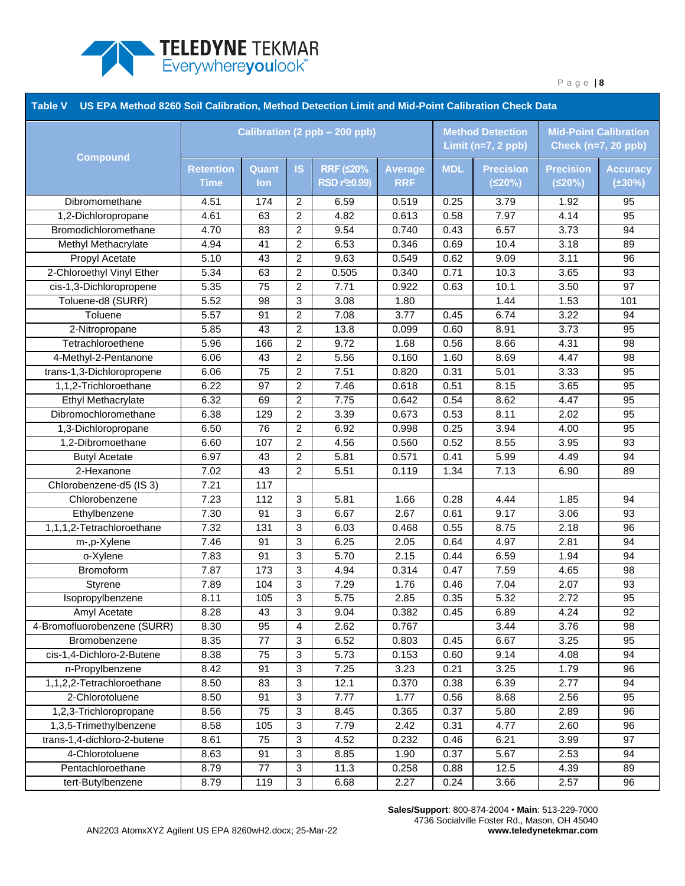

| US EPA Method 8260 Soil Calibration, Method Detection Limit and Mid-Point Calibration Check Data<br><b>Table V</b> |                  |       |                         |                               |                |                                               |                  |                                                            |                 |
|--------------------------------------------------------------------------------------------------------------------|------------------|-------|-------------------------|-------------------------------|----------------|-----------------------------------------------|------------------|------------------------------------------------------------|-----------------|
| <b>Compound</b>                                                                                                    |                  |       |                         | Calibration (2 ppb - 200 ppb) |                | <b>Method Detection</b><br>Limit (n=7, 2 ppb) |                  | <b>Mid-Point Calibration</b><br><b>Check (n=7, 20 ppb)</b> |                 |
|                                                                                                                    | <b>Retention</b> | Quant | <b>IS</b>               | <b>RRF (≤20%</b>              | <b>Average</b> | <b>MDL</b>                                    | <b>Precision</b> | <b>Precision</b>                                           | <b>Accuracy</b> |
|                                                                                                                    | <b>Time</b>      | lon   |                         | RSD r <sup>2</sup> 20.99)     | <b>RRF</b>     |                                               | (520%)           | (520%)                                                     | $(\pm 30\%)$    |
| Dibromomethane                                                                                                     | 4.51             | 174   | 2                       | 6.59                          | 0.519          | 0.25                                          | 3.79             | 1.92                                                       | 95              |
| 1,2-Dichloropropane                                                                                                | 4.61             | 63    | 2                       | 4.82                          | 0.613          | 0.58                                          | 7.97             | 4.14                                                       | 95              |
| Bromodichloromethane                                                                                               | 4.70             | 83    | 2                       | 9.54                          | 0.740          | 0.43                                          | 6.57             | 3.73                                                       | 94              |
| Methyl Methacrylate                                                                                                | 4.94             | 41    | $\overline{c}$          | 6.53                          | 0.346          | 0.69                                          | 10.4             | 3.18                                                       | 89              |
| Propyl Acetate                                                                                                     | 5.10             | 43    | 2                       | 9.63                          | 0.549          | 0.62                                          | 9.09             | 3.11                                                       | 96              |
| 2-Chloroethyl Vinyl Ether                                                                                          | 5.34             | 63    | $\overline{c}$          | 0.505                         | 0.340          | 0.71                                          | 10.3             | 3.65                                                       | 93              |
| cis-1,3-Dichloropropene                                                                                            | 5.35             | 75    | $\overline{c}$          | 7.71                          | 0.922          | 0.63                                          | 10.1             | 3.50                                                       | 97              |
| Toluene-d8 (SURR)                                                                                                  | 5.52             | 98    | 3                       | 3.08                          | 1.80           |                                               | 1.44             | 1.53                                                       | 101             |
| Toluene                                                                                                            | 5.57             | 91    | $\overline{c}$          | 7.08                          | 3.77           | 0.45                                          | 6.74             | 3.22                                                       | 94              |
| 2-Nitropropane                                                                                                     | 5.85             | 43    | $\overline{c}$          | 13.8                          | 0.099          | 0.60                                          | 8.91             | 3.73                                                       | 95              |
| Tetrachloroethene                                                                                                  | 5.96             | 166   | 2                       | 9.72                          | 1.68           | 0.56                                          | 8.66             | 4.31                                                       | 98              |
| 4-Methyl-2-Pentanone                                                                                               | 6.06             | 43    | $\overline{c}$          | 5.56                          | 0.160          | 1.60                                          | 8.69             | 4.47                                                       | 98              |
| trans-1,3-Dichloropropene                                                                                          | 6.06             | 75    | $\overline{\mathbf{c}}$ | 7.51                          | 0.820          | 0.31                                          | 5.01             | 3.33                                                       | 95              |
| 1,1,2-Trichloroethane                                                                                              | 6.22             | 97    | $\overline{\mathbf{c}}$ | 7.46                          | 0.618          | 0.51                                          | 8.15             | 3.65                                                       | 95              |
| Ethyl Methacrylate                                                                                                 | 6.32             | 69    | $\overline{c}$          | 7.75                          | 0.642          | 0.54                                          | 8.62             | 4.47                                                       | 95              |
| Dibromochloromethane                                                                                               | 6.38             | 129   | $\overline{c}$          | 3.39                          | 0.673          | 0.53                                          | 8.11             | 2.02                                                       | 95              |
| 1,3-Dichloropropane                                                                                                | 6.50             | 76    | 2                       | 6.92                          | 0.998          | 0.25                                          | 3.94             | 4.00                                                       | 95              |
| 1,2-Dibromoethane                                                                                                  | 6.60             | 107   | $\overline{c}$          | 4.56                          | 0.560          | 0.52                                          | 8.55             | 3.95                                                       | 93              |
| <b>Butyl Acetate</b>                                                                                               | 6.97             | 43    | $\overline{c}$          | 5.81                          | 0.571          | 0.41                                          | 5.99             | 4.49                                                       | 94              |
| 2-Hexanone                                                                                                         | 7.02             | 43    | $\overline{c}$          | 5.51                          | 0.119          | 1.34                                          | 7.13             | 6.90                                                       | 89              |
| Chlorobenzene-d5 (IS 3)                                                                                            | 7.21             | 117   |                         |                               |                |                                               |                  |                                                            |                 |
| Chlorobenzene                                                                                                      | 7.23             | 112   | 3                       | 5.81                          | 1.66           | 0.28                                          | 4.44             | 1.85                                                       | 94              |
| Ethylbenzene                                                                                                       | 7.30             | 91    | 3                       | 6.67                          | 2.67           | 0.61                                          | 9.17             | 3.06                                                       | 93              |
| 1,1,1,2-Tetrachloroethane                                                                                          | 7.32             | 131   | 3                       | 6.03                          | 0.468          | 0.55                                          | 8.75             | 2.18                                                       | 96              |
| m-,p-Xylene                                                                                                        | 7.46             | 91    | 3                       | 6.25                          | 2.05           | 0.64                                          | 4.97             | 2.81                                                       | 94              |
| o-Xylene                                                                                                           | 7.83             | 91    | 3                       | 5.70                          | 2.15           | 0.44                                          | 6.59             | 1.94                                                       | 94              |
| Bromoform                                                                                                          | 7.87             | 173   | 3                       | 4.94                          | 0.314          | 0.47                                          | 7.59             | 4.65                                                       | 98              |
| Styrene                                                                                                            | 7.89             | 104   | 3                       | 7.29                          | 1.76           | 0.46                                          | 7.04             | 2.07                                                       | 93              |
| Isopropylbenzene                                                                                                   | 8.11             | 105   | 3                       | 5.75                          | 2.85           | 0.35                                          | 5.32             | 2.72                                                       | 95              |
| Amyl Acetate                                                                                                       | 8.28             | 43    | 3                       | 9.04                          | 0.382          | 0.45                                          | 6.89             | 4.24                                                       | 92              |
| 4-Bromofluorobenzene (SURR)                                                                                        | 8.30             | 95    | 4                       | 2.62                          | 0.767          |                                               | 3.44             | 3.76                                                       | 98              |
| Bromobenzene                                                                                                       | 8.35             | 77    | 3                       | 6.52                          | 0.803          | 0.45                                          | 6.67             | 3.25                                                       | 95              |
| cis-1,4-Dichloro-2-Butene                                                                                          | 8.38             | 75    | 3                       | 5.73                          | 0.153          | 0.60                                          | 9.14             | 4.08                                                       | 94              |
| n-Propylbenzene                                                                                                    | 8.42             | 91    | 3                       | 7.25                          | 3.23           | 0.21                                          | 3.25             | 1.79                                                       | 96              |
| 1,1,2,2-Tetrachloroethane                                                                                          | 8.50             | 83    | 3                       | 12.1                          | 0.370          | 0.38                                          | 6.39             | 2.77                                                       | 94              |
| 2-Chlorotoluene                                                                                                    | 8.50             | 91    | 3                       | 7.77                          | 1.77           | 0.56                                          | 8.68             | 2.56                                                       | 95              |
| 1,2,3-Trichloropropane                                                                                             | 8.56             | 75    | 3                       | 8.45                          | 0.365          | 0.37                                          | 5.80             | 2.89                                                       | 96              |
| 1,3,5-Trimethylbenzene                                                                                             | 8.58             | 105   | 3                       | 7.79                          | 2.42           | 0.31                                          | 4.77             | 2.60                                                       | 96              |
| trans-1,4-dichloro-2-butene                                                                                        | 8.61             | 75    | 3                       | 4.52                          | 0.232          | 0.46                                          | 6.21             | 3.99                                                       | 97              |
| 4-Chlorotoluene                                                                                                    | 8.63             | 91    | 3                       | 8.85                          | 1.90           | 0.37                                          | 5.67             | 2.53                                                       | 94              |
| Pentachloroethane                                                                                                  | 8.79             | 77    | 3                       | 11.3                          | 0.258          | 0.88                                          | 12.5             | 4.39                                                       | 89              |
| tert-Butylbenzene                                                                                                  | 8.79             | 119   | $\sqrt{3}$              | 6.68                          | 2.27           | 0.24                                          | 3.66             | 2.57                                                       | 96              |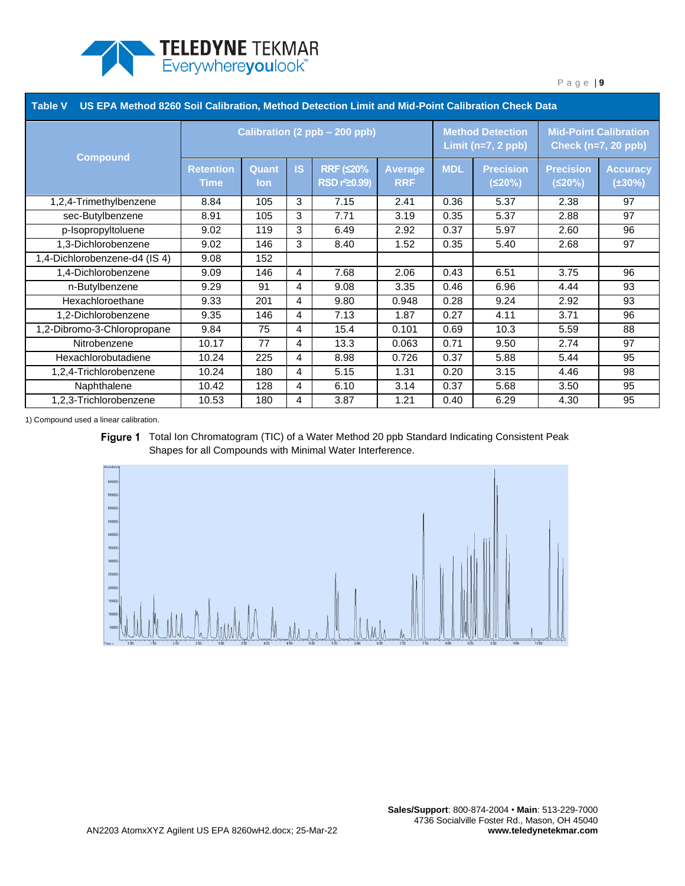

| Table V US EPA Method 8260 Soil Calibration, Method Detection Limit and Mid-Point Calibration Check Data |                                 |                     |           |                                               |                       |            |                                                 |                                                            |                                 |
|----------------------------------------------------------------------------------------------------------|---------------------------------|---------------------|-----------|-----------------------------------------------|-----------------------|------------|-------------------------------------------------|------------------------------------------------------------|---------------------------------|
| <b>Compound</b>                                                                                          | Calibration (2 ppb - 200 ppb)   |                     |           |                                               |                       |            | <b>Method Detection</b><br>Limit $(n=7, 2$ ppb) | <b>Mid-Point Calibration</b><br><b>Check (n=7, 20 ppb)</b> |                                 |
|                                                                                                          | <b>Retention</b><br><b>Time</b> | Quant<br><b>lon</b> | <b>IS</b> | <b>RRF (S20%</b><br>RSD r <sup>2</sup> 20.99) | Average<br><b>RRF</b> | <b>MDL</b> | <b>Precision</b><br>(520%)                      | <b>Precision</b><br>(≤20%)                                 | <b>Accuracy</b><br>$(\pm 30\%)$ |
| 1,2,4-Trimethylbenzene                                                                                   | 8.84                            | 105                 | 3         | 7.15                                          | 2.41                  | 0.36       | 5.37                                            | 2.38                                                       | 97                              |
| sec-Butylbenzene                                                                                         | 8.91                            | 105                 | 3         | 7.71                                          | 3.19                  | 0.35       | 5.37                                            | 2.88                                                       | 97                              |
| p-Isopropyltoluene                                                                                       | 9.02                            | 119                 | 3         | 6.49                                          | 2.92                  | 0.37       | 5.97                                            | 2.60                                                       | 96                              |
| 1,3-Dichlorobenzene                                                                                      | 9.02                            | 146                 | 3         | 8.40                                          | 1.52                  | 0.35       | 5.40                                            | 2.68                                                       | 97                              |
| 1,4-Dichlorobenzene-d4 (IS 4)                                                                            | 9.08                            | 152                 |           |                                               |                       |            |                                                 |                                                            |                                 |
| 1,4-Dichlorobenzene                                                                                      | 9.09                            | 146                 | 4         | 7.68                                          | 2.06                  | 0.43       | 6.51                                            | 3.75                                                       | 96                              |
| n-Butylbenzene                                                                                           | 9.29                            | 91                  | 4         | 9.08                                          | 3.35                  | 0.46       | 6.96                                            | 4.44                                                       | 93                              |
| Hexachloroethane                                                                                         | 9.33                            | 201                 | 4         | 9.80                                          | 0.948                 | 0.28       | 9.24                                            | 2.92                                                       | 93                              |
| 1,2-Dichlorobenzene                                                                                      | 9.35                            | 146                 | 4         | 7.13                                          | 1.87                  | 0.27       | 4.11                                            | 3.71                                                       | 96                              |
| 1,2-Dibromo-3-Chloropropane                                                                              | 9.84                            | 75                  | 4         | 15.4                                          | 0.101                 | 0.69       | 10.3                                            | 5.59                                                       | 88                              |
| Nitrobenzene                                                                                             | 10.17                           | 77                  | 4         | 13.3                                          | 0.063                 | 0.71       | 9.50                                            | 2.74                                                       | 97                              |
| Hexachlorobutadiene                                                                                      | 10.24                           | 225                 | 4         | 8.98                                          | 0.726                 | 0.37       | 5.88                                            | 5.44                                                       | 95                              |
| 1,2,4-Trichlorobenzene                                                                                   | 10.24                           | 180                 | 4         | 5.15                                          | 1.31                  | 0.20       | 3.15                                            | 4.46                                                       | 98                              |
| Naphthalene                                                                                              | 10.42                           | 128                 | 4         | 6.10                                          | 3.14                  | 0.37       | 5.68                                            | 3.50                                                       | 95                              |
| 1,2,3-Trichlorobenzene                                                                                   | 10.53                           | 180                 | 4         | 3.87                                          | 1.21                  | 0.40       | 6.29                                            | 4.30                                                       | 95                              |

1) Compound used a linear calibration.

<span id="page-8-0"></span>Figure 1 Total Ion Chromatogram (TIC) of a Water Method 20 ppb Standard Indicating Consistent Peak Shapes for all Compounds with Minimal Water Interference.